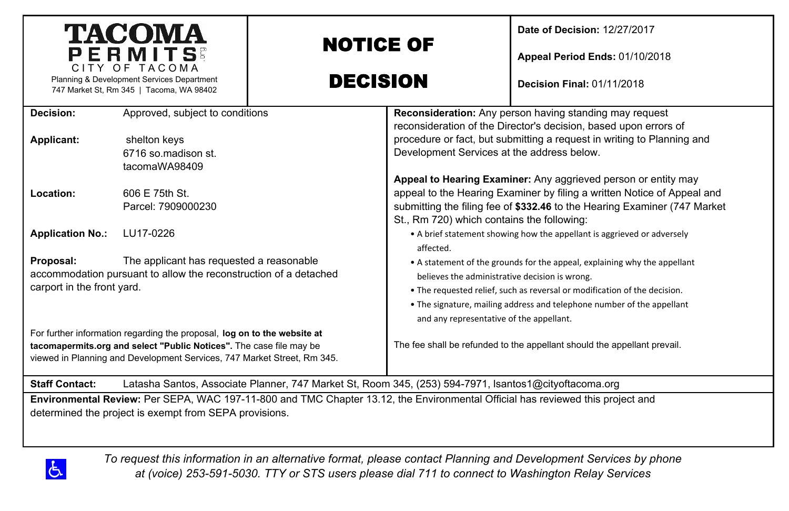| <b>TACOMA</b><br>PERMITS<br>CITY OF TACOMA                                                                                                                                                                                 |                                                      | <b>NOTICE OF</b>                                                                                                                                                                                                                                                                                                               |                                                                                                                      | Date of Decision: 12/27/2017<br>Appeal Period Ends: 01/10/2018                                                                                                                                                         |
|----------------------------------------------------------------------------------------------------------------------------------------------------------------------------------------------------------------------------|------------------------------------------------------|--------------------------------------------------------------------------------------------------------------------------------------------------------------------------------------------------------------------------------------------------------------------------------------------------------------------------------|----------------------------------------------------------------------------------------------------------------------|------------------------------------------------------------------------------------------------------------------------------------------------------------------------------------------------------------------------|
| Planning & Development Services Department<br>747 Market St, Rm 345   Tacoma, WA 98402                                                                                                                                     |                                                      | <b>DECISION</b>                                                                                                                                                                                                                                                                                                                |                                                                                                                      | <b>Decision Final: 01/11/2018</b>                                                                                                                                                                                      |
| Decision:                                                                                                                                                                                                                  | Approved, subject to conditions                      |                                                                                                                                                                                                                                                                                                                                |                                                                                                                      | Reconsideration: Any person having standing may request<br>reconsideration of the Director's decision, based upon errors of                                                                                            |
| Applicant:                                                                                                                                                                                                                 | shelton keys<br>6716 so madison st.<br>tacomaWA98409 |                                                                                                                                                                                                                                                                                                                                | procedure or fact, but submitting a request in writing to Planning and<br>Development Services at the address below. |                                                                                                                                                                                                                        |
| Location:                                                                                                                                                                                                                  | 606 E 75th St.<br>Parcel: 7909000230                 | St., Rm 720) which contains the following:                                                                                                                                                                                                                                                                                     |                                                                                                                      | Appeal to Hearing Examiner: Any aggrieved person or entity may<br>appeal to the Hearing Examiner by filing a written Notice of Appeal and<br>submitting the filing fee of \$332.46 to the Hearing Examiner (747 Market |
| <b>Application No.:</b><br>LU17-0226                                                                                                                                                                                       |                                                      | • A brief statement showing how the appellant is aggrieved or adversely<br>affected.                                                                                                                                                                                                                                           |                                                                                                                      |                                                                                                                                                                                                                        |
| The applicant has requested a reasonable<br>Proposal:<br>accommodation pursuant to allow the reconstruction of a detached<br>carport in the front yard.                                                                    |                                                      | • A statement of the grounds for the appeal, explaining why the appellant<br>believes the administrative decision is wrong.<br>. The requested relief, such as reversal or modification of the decision.<br>. The signature, mailing address and telephone number of the appellant<br>and any representative of the appellant. |                                                                                                                      |                                                                                                                                                                                                                        |
| For further information regarding the proposal, log on to the website at<br>tacomapermits.org and select "Public Notices". The case file may be<br>viewed in Planning and Development Services, 747 Market Street, Rm 345. |                                                      |                                                                                                                                                                                                                                                                                                                                | The fee shall be refunded to the appellant should the appellant prevail.                                             |                                                                                                                                                                                                                        |
| Latasha Santos, Associate Planner, 747 Market St, Room 345, (253) 594-7971, Isantos1@cityoftacoma.org<br><b>Staff Contact:</b>                                                                                             |                                                      |                                                                                                                                                                                                                                                                                                                                |                                                                                                                      |                                                                                                                                                                                                                        |
| Environmental Review: Per SEPA, WAC 197-11-800 and TMC Chapter 13.12, the Environmental Official has reviewed this project and<br>determined the project is exempt from SEPA provisions.                                   |                                                      |                                                                                                                                                                                                                                                                                                                                |                                                                                                                      |                                                                                                                                                                                                                        |

 $\Delta$ 

*To request this information in an alternative format, please contact Planning and Development Services by phone at (voice) 253-591-5030. TTY or STS users please dial 711 to connect to Washington Relay Services*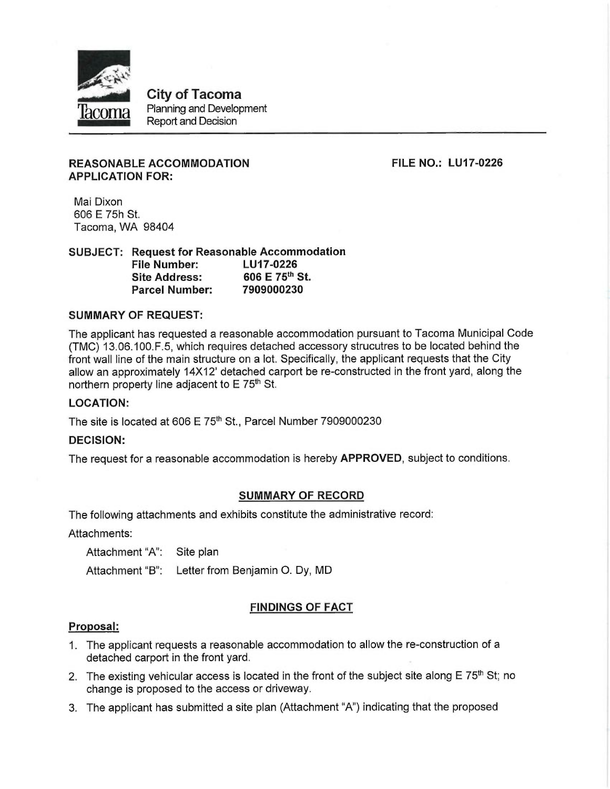

**City of Tacoma** Planning and Development **Report and Decision** 

# **REASONABLE ACCOMMODATION APPLICATION FOR:**

**FILE NO.: LU17-0226** 

Mai Dixon 606 E 75h St. Tacoma, WA 98404

**SUBJECT: Request for Reasonable Accommodation** LU17-0226 **File Number:** 606 E 75th St. **Site Address:** 7909000230 **Parcel Number:** 

#### **SUMMARY OF REQUEST:**

The applicant has requested a reasonable accommodation pursuant to Tacoma Municipal Code (TMC) 13.06.100. F.5, which requires detached accessory strucutres to be located behind the front wall line of the main structure on a lot. Specifically, the applicant requests that the City allow an approximately 14X12' detached carport be re-constructed in the front yard, along the northern property line adjacent to E 75<sup>th</sup> St.

# **LOCATION:**

The site is located at 606 E 75<sup>th</sup> St., Parcel Number 7909000230

#### **DECISION:**

The request for a reasonable accommodation is hereby APPROVED, subject to conditions.

#### **SUMMARY OF RECORD**

The following attachments and exhibits constitute the administrative record:

Attachments:

Attachment "A": Site plan

Attachment "B": Letter from Benjamin O. Dy, MD

# **FINDINGS OF FACT**

#### Proposal:

- 1. The applicant requests a reasonable accommodation to allow the re-construction of a detached carport in the front yard.
- 2. The existing vehicular access is located in the front of the subject site along  $E 75<sup>th</sup>$  St; no change is proposed to the access or driveway.
- 3. The applicant has submitted a site plan (Attachment "A") indicating that the proposed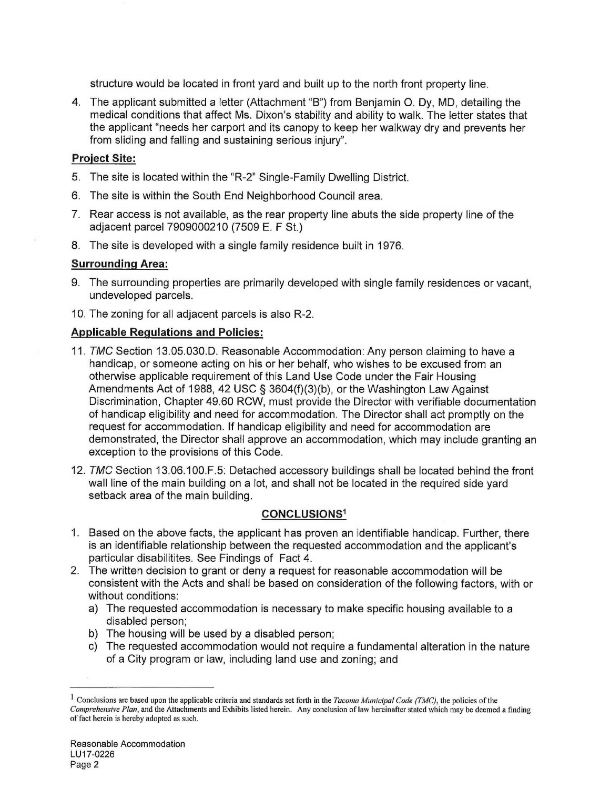structure would be located in front yard and built up to the north front property line.

4. The applicant submitted a letter (Attachment "B") from Benjamin O. Dy, MD, detailing the medical conditions that affect Ms. Dixon's stability and ability to walk. The letter states that the applicant "needs her carport and its canopy to keep her walkway dry and prevents her from sliding and falling and sustaining serious injury".

# **Project Site:**

- 5. The site is located within the "R-2" Single-Family Dwelling District.
- 6. The site is within the South End Neighborhood Council area.
- 7. Rear access is not available, as the rear property line abuts the side property line of the adjacent parcel 7909000210 (7509 E. F St.)
- 8. The site is developed with a single family residence built in 1976.

# **Surrounding Area:**

9. The surrounding properties are primarily developed with single family residences or vacant. undeveloped parcels.

10. The zoning for all adjacent parcels is also R-2.

# **Applicable Regulations and Policies:**

- 11. TMC Section 13.05.030.D. Reasonable Accommodation: Any person claiming to have a handicap, or someone acting on his or her behalf, who wishes to be excused from an otherwise applicable requirement of this Land Use Code under the Fair Housing Amendments Act of 1988, 42 USC § 3604(f)(3)(b), or the Washington Law Against Discrimination, Chapter 49.60 RCW, must provide the Director with verifiable documentation of handicap eligibility and need for accommodation. The Director shall act promptly on the request for accommodation. If handicap eligibility and need for accommodation are demonstrated, the Director shall approve an accommodation, which may include granting an exception to the provisions of this Code.
- 12. TMC Section 13.06.100. F.5: Detached accessory buildings shall be located behind the front wall line of the main building on a lot, and shall not be located in the required side yard setback area of the main building.

# **CONCLUSIONS1**

- 1. Based on the above facts, the applicant has proven an identifiable handicap. Further, there is an identifiable relationship between the requested accommodation and the applicant's particular disabilitites. See Findings of Fact 4.
- 2. The written decision to grant or deny a request for reasonable accommodation will be consistent with the Acts and shall be based on consideration of the following factors, with or without conditions:
	- a) The requested accommodation is necessary to make specific housing available to a disabled person;
	- b) The housing will be used by a disabled person;
	- c) The requested accommodation would not require a fundamental alteration in the nature of a City program or law, including land use and zoning; and

<sup>&</sup>lt;sup>1</sup> Conclusions are based upon the applicable criteria and standards set forth in the *Tacoma Municipal Code (TMC)*, the policies of the Comprehensive Plan, and the Attachments and Exhibits listed herein. Any conclusion of law hereinafter stated which may be deemed a finding of fact herein is hereby adopted as such.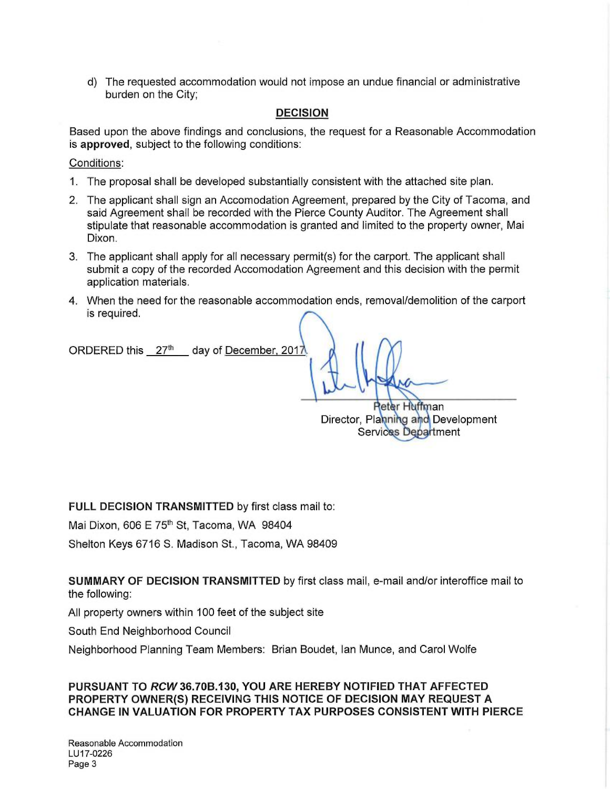d) The requested accommodation would not impose an undue financial or administrative burden on the City;

# **DECISION**

Based upon the above findings and conclusions, the request for a Reasonable Accommodation is approved, subject to the following conditions:

Conditions:

- 1. The proposal shall be developed substantially consistent with the attached site plan.
- 2. The applicant shall sign an Accomodation Agreement, prepared by the City of Tacoma, and said Agreement shall be recorded with the Pierce County Auditor. The Agreement shall stipulate that reasonable accommodation is granted and limited to the property owner, Mai Dixon.
- 3. The applicant shall apply for all necessary permit(s) for the carport. The applicant shall submit a copy of the recorded Accomodation Agreement and this decision with the permit application materials.
- 4. When the need for the reasonable accommodation ends, removal/demolition of the carport is required.

ORDERED this 27th day of December, 2017

> **Reter Huffman** Director, Planning and Development Services Department

FULL DECISION TRANSMITTED by first class mail to:

Mai Dixon, 606 E 75<sup>th</sup> St, Tacoma, WA 98404

Shelton Keys 6716 S. Madison St., Tacoma, WA 98409

SUMMARY OF DECISION TRANSMITTED by first class mail, e-mail and/or interoffice mail to the following:

All property owners within 100 feet of the subject site

South End Neighborhood Council

Neighborhood Planning Team Members: Brian Boudet, Ian Munce, and Carol Wolfe

PURSUANT TO RCW 36.70B.130, YOU ARE HEREBY NOTIFIED THAT AFFECTED PROPERTY OWNER(S) RECEIVING THIS NOTICE OF DECISION MAY REQUEST A **CHANGE IN VALUATION FOR PROPERTY TAX PURPOSES CONSISTENT WITH PIERCE**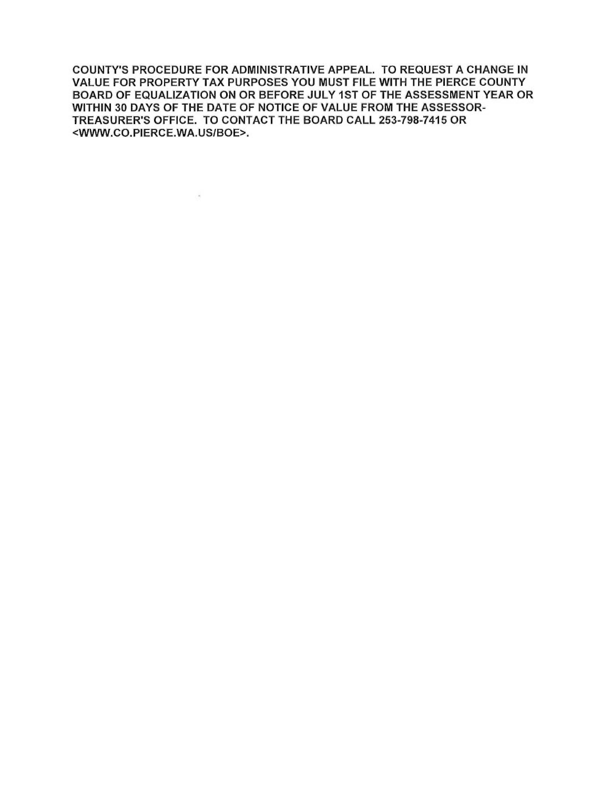COUNTY'S PROCEDURE FOR ADMINISTRATIVE APPEAL. TO REQUEST A CHANGE IN VALUE FOR PROPERTY TAX PURPOSES YOU MUST FILE WITH THE PIERCE COUNTY BOARD OF EQUALIZATION ON OR BEFORE JULY 1ST OF THE ASSESSMENT YEAR OR WITHIN 30 DAYS OF THE DATE OF NOTICE OF VALUE FROM THE ASSESSOR-TREASURER'S OFFICE. TO CONTACT THE BOARD CALL 253-798-7415 OR <WWW.CO.PIERCE.WA.US/BOE>.

 $\mathcal{L}(\mathcal{P})$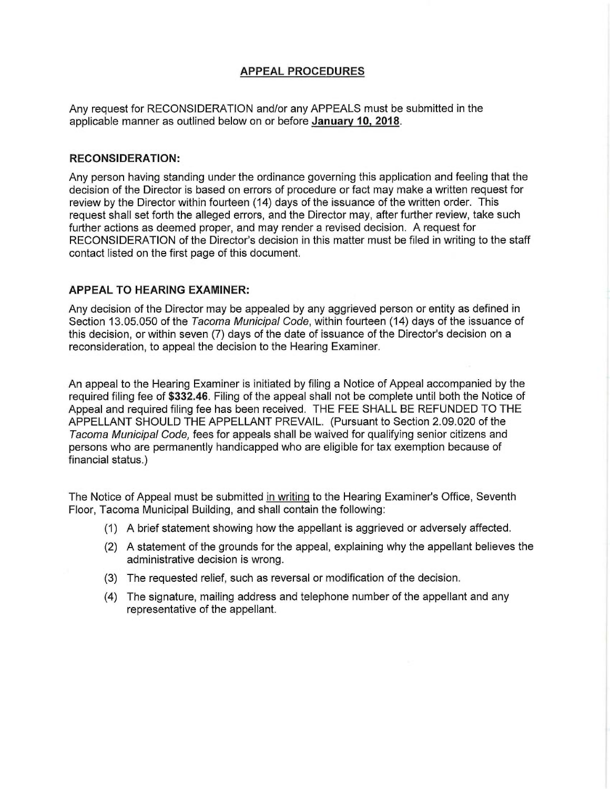# **APPEAL PROCEDURES**

Any request for RECONSIDERATION and/or any APPEALS must be submitted in the applicable manner as outlined below on or before January 10, 2018.

#### **RECONSIDERATION:**

Any person having standing under the ordinance governing this application and feeling that the decision of the Director is based on errors of procedure or fact may make a written request for review by the Director within fourteen (14) days of the issuance of the written order. This request shall set forth the alleged errors, and the Director may, after further review, take such further actions as deemed proper, and may render a revised decision. A request for RECONSIDERATION of the Director's decision in this matter must be filed in writing to the staff contact listed on the first page of this document.

#### **APPEAL TO HEARING EXAMINER:**

Any decision of the Director may be appealed by any aggrieved person or entity as defined in Section 13.05.050 of the Tacoma Municipal Code, within fourteen (14) days of the issuance of this decision, or within seven (7) days of the date of issuance of the Director's decision on a reconsideration, to appeal the decision to the Hearing Examiner.

An appeal to the Hearing Examiner is initiated by filing a Notice of Appeal accompanied by the required filing fee of \$332.46. Filing of the appeal shall not be complete until both the Notice of Appeal and required filing fee has been received. THE FEE SHALL BE REFUNDED TO THE APPELLANT SHOULD THE APPELLANT PREVAIL. (Pursuant to Section 2.09.020 of the Tacoma Municipal Code, fees for appeals shall be waived for qualifying senior citizens and persons who are permanently handicapped who are eligible for tax exemption because of financial status.)

The Notice of Appeal must be submitted in writing to the Hearing Examiner's Office, Seventh Floor, Tacoma Municipal Building, and shall contain the following:

- (1) A brief statement showing how the appellant is aggrieved or adversely affected.
- (2) A statement of the grounds for the appeal, explaining why the appellant believes the administrative decision is wrong.
- (3) The requested relief, such as reversal or modification of the decision.
- (4) The signature, mailing address and telephone number of the appellant and any representative of the appellant.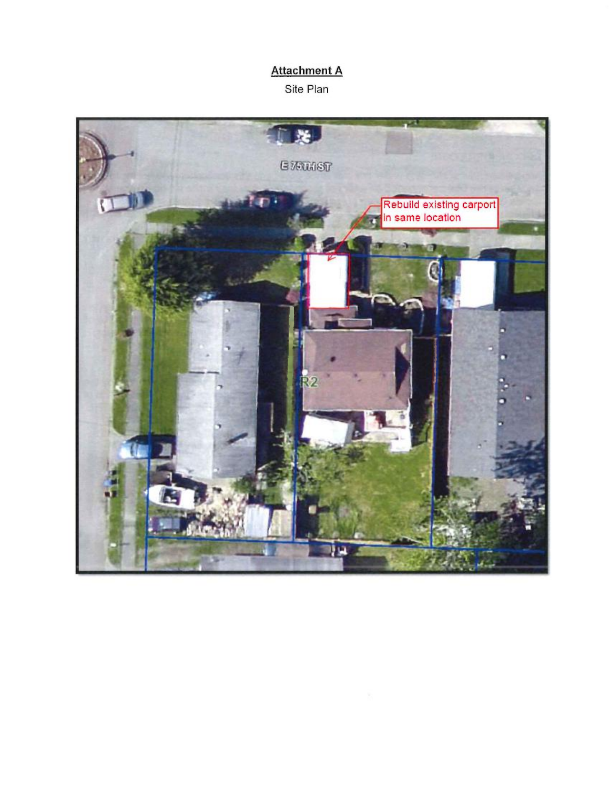# **Attachment A**

Site Plan